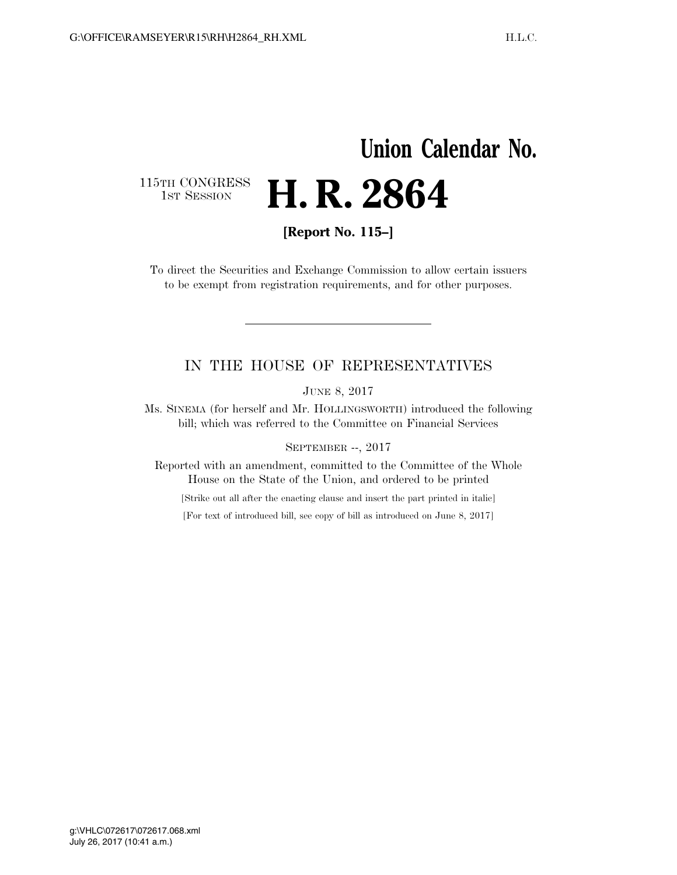## **Union Calendar No.**  115TH CONGRESS<br>1st Session **H. R. 2864**

**[Report No. 115–]** 

To direct the Securities and Exchange Commission to allow certain issuers to be exempt from registration requirements, and for other purposes.

## IN THE HOUSE OF REPRESENTATIVES

JUNE 8, 2017

Ms. SINEMA (for herself and Mr. HOLLINGSWORTH) introduced the following bill; which was referred to the Committee on Financial Services

SEPTEMBER --, 2017

Reported with an amendment, committed to the Committee of the Whole House on the State of the Union, and ordered to be printed

[Strike out all after the enacting clause and insert the part printed in italic]

[For text of introduced bill, see copy of bill as introduced on June 8, 2017]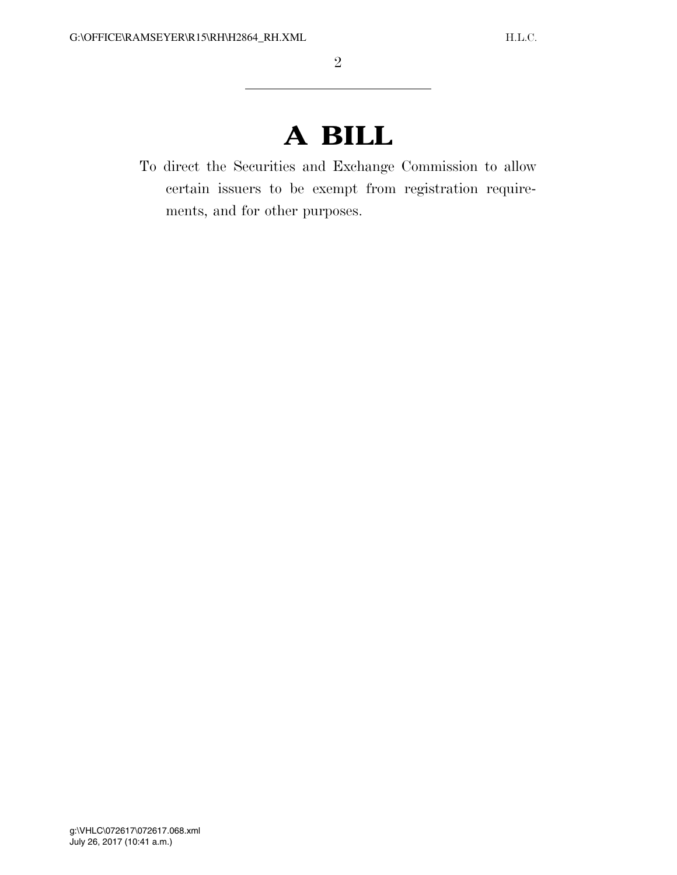## **A BILL**

To direct the Securities and Exchange Commission to allow certain issuers to be exempt from registration requirements, and for other purposes.